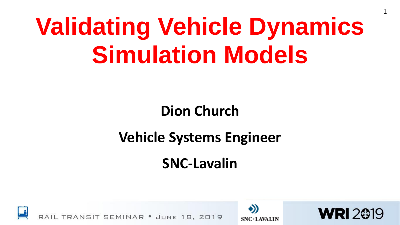# **Validating Vehicle Dynamics Simulation Models**

### **Dion Church**

### **Vehicle Systems Engineer**

### **SNC-Lavalin**

**Insert logo here in Master slide**

**SNC·LAVALIN** 



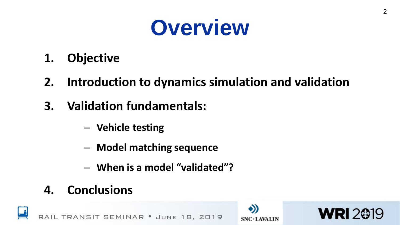

- **1. Objective**
- **2. Introduction to dynamics simulation and validation**
- **3. Validation fundamentals:**
	- **Vehicle testing**
	- **Model matching sequence**
	- **When is a model "validated"?**
- **4. Conclusions**







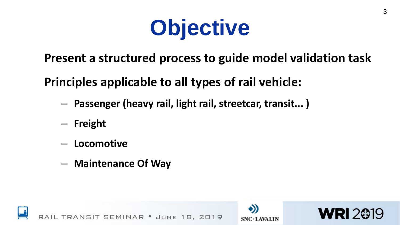

**Present a structured process to guide model validation task**

**Principles applicable to all types of rail vehicle:**

- **Passenger (heavy rail, light rail, streetcar, transit... )**
- **Freight**
- **Locomotive**
- **Maintenance Of Way**





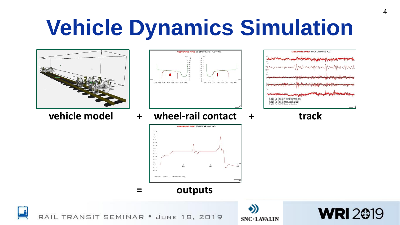### **Vehicle Dynamics Simulation**





**vehicle model + wheel-rail contact + track**



**Insert logo here in Master slide**



**= outputs**



RAIL TRANSIT SEMINAR . JUNE 18, 2019

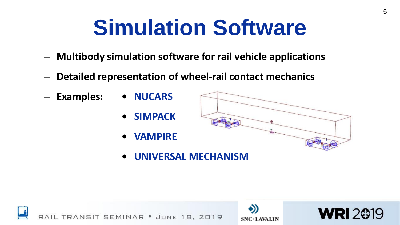### **Simulation Software**

- **Multibody simulation software for rail vehicle applications**
- **Detailed representation of wheel-rail contact mechanics**
- **Examples: • NUCARS**
	- **• SIMPACK**
	- **• VAMPIRE**



**Insert logo here in Master slide**

**• UNIVERSAL MECHANISM**



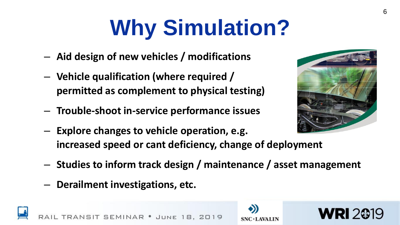# **Why Simulation?**

- **Aid design of new vehicles / modifications**
- **Vehicle qualification (where required / permitted as complement to physical testing)**
- **Trouble-shoot in-service performance issues**

JUNE

- **Explore changes to vehicle operation, e.g. increased speed or cant deficiency, change of deployment**
- **Studies to inform track design / maintenance / asset management**
- **Derailment investigations, etc.**

**SIT SEMINAR .** 





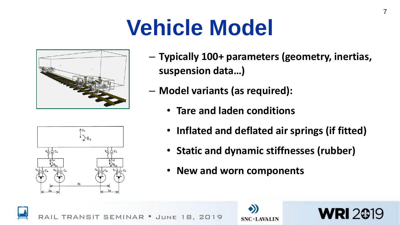### **Vehicle Model**



AУc  $\rightarrow$   $\rightarrow$   $\circ$  $2<sub>b</sub>$ 

- **Typically 100+ parameters (geometry, inertias, suspension data…)**
- **Model variants (as required):**
	- **Tare and laden conditions**
	- **Inflated and deflated air springs (if fitted)**
	- **Static and dynamic stiffnesses (rubber)**
	- **New and worn components**



NSIT SEMINAR · JUNE 8.2019



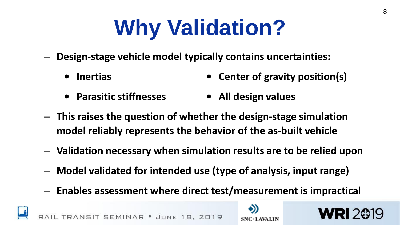# **Why Validation?**

- **Design-stage vehicle model typically contains uncertainties:**
	- **• Inertias • Center of gravity position(s)**
	- **• Parasitic stiffnesses • All design values**
- **This raises the question of whether the design-stage simulation model reliably represents the behavior of the as-built vehicle**
- **Validation necessary when simulation results are to be relied upon**
- **Model validated for intended use (type of analysis, input range)**
- **Enables assessment where direct test/measurement is impractical**



**SEMINAR • JUNE 18, 2019** 



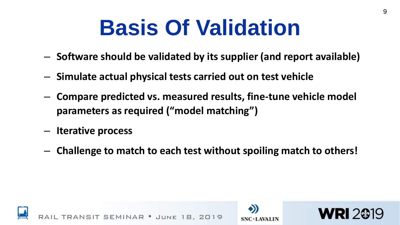### **Basis Of Validation**

- **Software should be validated by its supplier (and report available)**
- **Simulate actual physical tests carried out on test vehicle**
- **Compare predicted vs. measured results, fine-tune vehicle model parameters as required ("model matching")**
- **Iterative process**
- **Challenge to match to each test without spoiling match to others!**

**Insert logo here in Master slide**

**SNC·LAVALIN** 



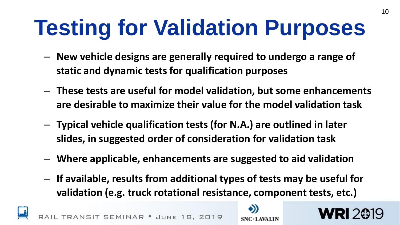# **Testing for Validation Purposes**

- **New vehicle designs are generally required to undergo a range of static and dynamic tests for qualification purposes**
- **These tests are useful for model validation, but some enhancements are desirable to maximize their value for the model validation task**
- **Typical vehicle qualification tests (for N.A.) are outlined in later slides, in suggested order of consideration for validation task**
- **Where applicable, enhancements are suggested to aid validation**
- **If available, results from additional types of tests may be useful for validation (e.g. truck rotational resistance, component tests, etc.)**



NSIT SEMINAR . JUNE 18, 2019



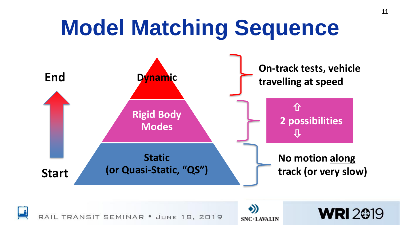#### **Model Matching Sequence End Start Dynamic Rigid Body Modes Static (or Quasi-Static, "QS") On-track tests, vehicle travelling at speed No motion along track (or very slow)** 仚 **2 possibilities**  $\mathbf{\hat{\theta}}$

18, 2019

TRANSIT SEMINAR . JUNE

**Insert logo here in Master slide**

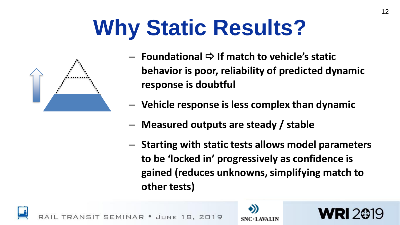## **Why Static Results?**



- **→ Foundational**  $\Rightarrow$  **If match to vehicle's static behavior is poor, reliability of predicted dynamic response is doubtful**
- **Vehicle response is less complex than dynamic**
- **Measured outputs are steady / stable**
- **Starting with static tests allows model parameters to be 'locked in' progressively as confidence is gained (reduces unknowns, simplifying match to other tests)**



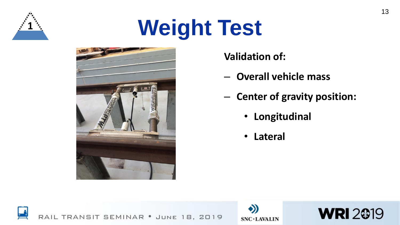

# **Weight Test**



**Validation of:**

- **Overall vehicle mass**
- **Center of gravity position:**
	- **Longitudinal**
	- **Lateral**





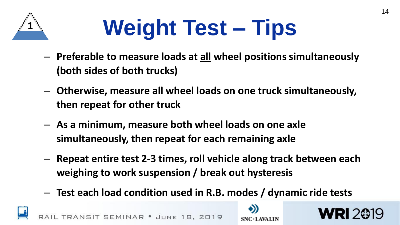

# **Weight Test – Tips**

- **Preferable to measure loads at all wheel positions simultaneously (both sides of both trucks)**
- **Otherwise, measure all wheel loads on one truck simultaneously, then repeat for other truck**
- **As a minimum, measure both wheel loads on one axle simultaneously, then repeat for each remaining axle**
- **Repeat entire test 2-3 times, roll vehicle along track between each weighing to work suspension / break out hysteresis**
- **Test each load condition used in R.B. modes / dynamic ride tests**

SEMINAR · JUNE 18, 2019

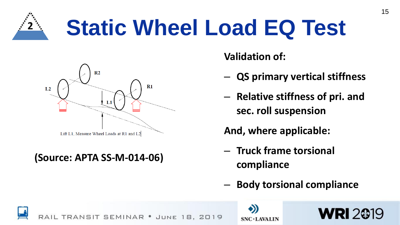

## **Static Wheel Load EQ Test**



#### **(Source: APTA SS-M-014-06)**

**Validation of:**

- **QS primary vertical stiffness**
- **Relative stiffness of pri. and sec. roll suspension**
- **And, where applicable:**
- **Truck frame torsional compliance**
- **Body torsional compliance**

**WRI 2019** 

SIT SEMINAR 2019 JUNE

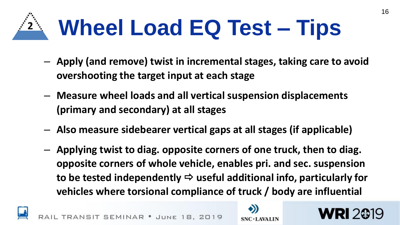

- **Apply (and remove) twist in incremental stages, taking care to avoid overshooting the target input at each stage**
- **Measure wheel loads and all vertical suspension displacements (primary and secondary) at all stages**
- **Also measure sidebearer vertical gaps at all stages (if applicable)**
- **Applying twist to diag. opposite corners of one truck, then to diag. opposite corners of whole vehicle, enables pri. and sec. suspension**  to be tested independently  $\Rightarrow$  useful additional info, particularly for **vehicles where torsional compliance of truck / body are influential**



SEMINAR



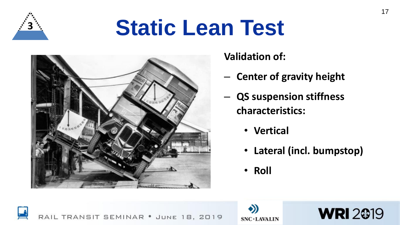

### **Static Lean Test**



**Validation of:**

- **Center of gravity height**
- **QS suspension stiffness characteristics:**
	- **Vertical**
	- **Lateral (incl. bumpstop)**
	- **Roll**





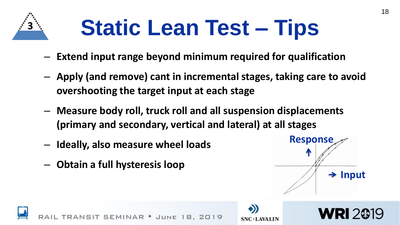

# **Static Lean Test – Tips**

- **Extend input range beyond minimum required for qualification**
- **Apply (and remove) cant in incremental stages, taking care to avoid overshooting the target input at each stage**
- **Measure body roll, truck roll and all suspension displacements (primary and secondary, vertical and lateral) at all stages**
- **Ideally, also measure wheel loads**
- **Obtain a full hysteresis loop**



**WRI 2019** 

18

**Insert logo here in Master slide**

**SNC·LAVALIN** 

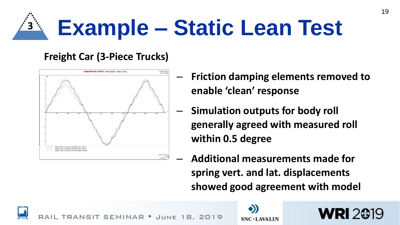

#### **Freight Car (3-Piece Trucks)**



– **Friction damping elements removed to enable 'clean' response**

19

**WRI 2019** 

- **Simulation outputs for body roll generally agreed with measured roll within 0.5 degree**
- **Additional measurements made for spring vert. and lat. displacements showed good agreement with model**

NSIT SEMINAR JUNE

**Insert logo here in Master slide SNC·LAVALIN**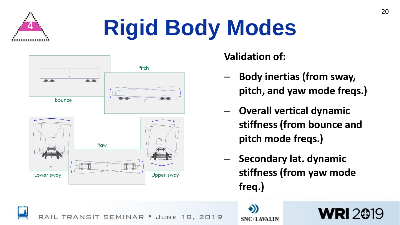

# **<sup>4</sup> Rigid Body Modes**



**Validation of:**

– **Body inertias (from sway, pitch, and yaw mode freqs.)** 20

- **Overall vertical dynamic stiffness (from bounce and pitch mode freqs.)**
- **Secondary lat. dynamic stiffness (from yaw mode freq.)**

**WRI2@19** 

RANSIT SEMINAR · JUNE 8.2019 **Insert logo here in Master slide**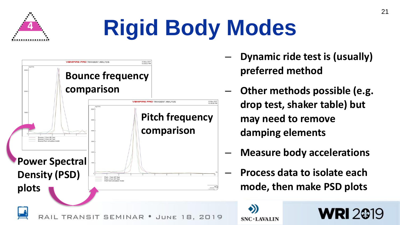

# **Rigid Body Modes**



- **Dynamic ride test is (usually) preferred method**
- **Other methods possible (e.g. drop test, shaker table) but may need to remove damping elements**
- **Measure body accelerations**
- **Process data to isolate each mode, then make PSD plots**

**WRI 2019** 

**Insert logo here in Master slide**

21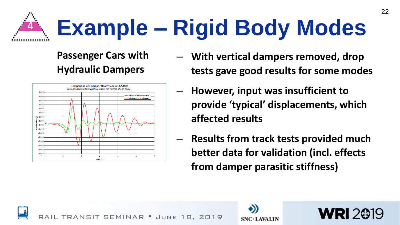

#### **Passenger Cars with Hydraulic Dampers**



- **With vertical dampers removed, drop tests gave good results for some modes**
- **However, input was insufficient to provide 'typical' displacements, which affected results**
- **Results from track tests provided much better data for validation (incl. effects from damper parasitic stiffness)**





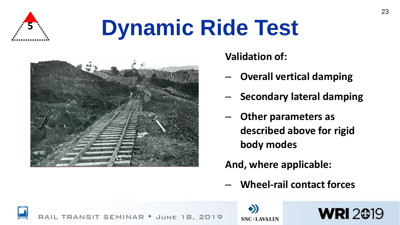

# **Dynamic Ride Test**



**Validation of:**

- **Overall vertical damping**
- **Secondary lateral damping**

23

– **Other parameters as described above for rigid body modes**

#### **And, where applicable:**

– **Wheel-rail contact forces**

**WRI 2019** 

TRANSIT SEMINAR . JUNE 18, 2019

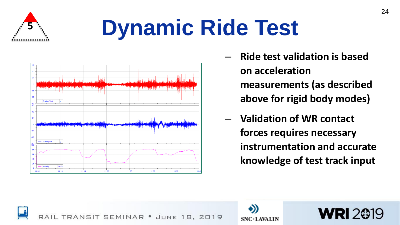

# **Dynamic Ride Test**



– **Ride test validation is based on acceleration measurements (as described above for rigid body modes)**

24

– **Validation of WR contact forces requires necessary instrumentation and accurate knowledge of test track input** 

**WRI2@19** 



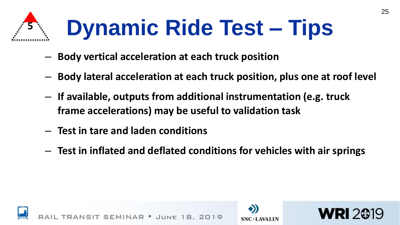

# **Dynamic Ride Test – Tips**

- **Body vertical acceleration at each truck position**
- **Body lateral acceleration at each truck position, plus one at roof level**
- **If available, outputs from additional instrumentation (e.g. truck frame accelerations) may be useful to validation task**
- **Test in tare and laden conditions**
- **Test in inflated and deflated conditions for vehicles with air springs**





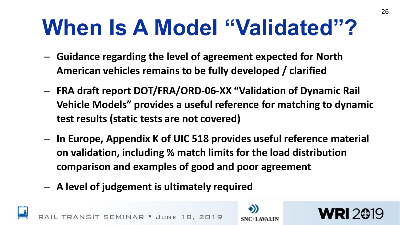### **When Is A Model "Validated"?**

- **Guidance regarding the level of agreement expected for North American vehicles remains to be fully developed / clarified**
- **FRA draft report DOT/FRA/ORD-06-XX "Validation of Dynamic Rail Vehicle Models" provides a useful reference for matching to dynamic test results (static tests are not covered)**
- **In Europe, Appendix K of UIC 518 provides useful reference material on validation, including % match limits for the load distribution comparison and examples of good and poor agreement**
- **A level of judgement is ultimately required**



SEMINAR · JUNE



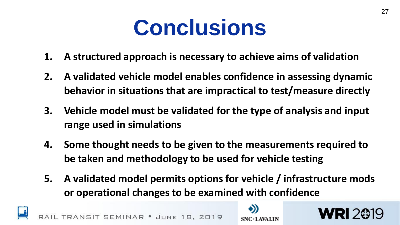### **Conclusions**

- **1. A structured approach is necessary to achieve aims of validation**
- **2. A validated vehicle model enables confidence in assessing dynamic behavior in situations that are impractical to test/measure directly**
- **3. Vehicle model must be validated for the type of analysis and input range used in simulations**
- **4. Some thought needs to be given to the measurements required to be taken and methodology to be used for vehicle testing**
- **5. A validated model permits options for vehicle / infrastructure mods or operational changes to be examined with confidence**